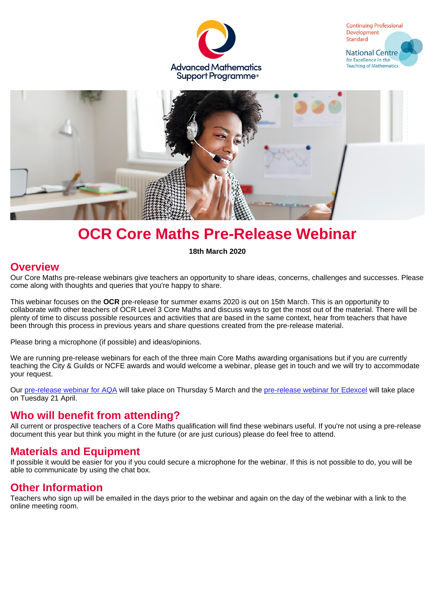





# **OCR Core Maths Pre-Release Webinar**

**18th March 2020**

#### **Overview**

Our Core Maths pre-release webinars give teachers an opportunity to share ideas, concerns, challenges and successes. Please come along with thoughts and queries that you're happy to share.

This webinar focuses on the **OCR** pre-release for summer exams 2020 is out on 15th March. This is an opportunity to collaborate with other teachers of OCR Level 3 Core Maths and discuss ways to get the most out of the material. There will be plenty of time to discuss possible resources and activities that are based in the same context, hear from teachers that have been through this process in previous years and share questions created from the pre-release material.

Please bring a microphone (if possible) and ideas/opinions.

We are running pre-release webinars for each of the three main Core Maths awarding organisations but if you are currently teaching the City & Guilds or NCFE awards and would welcome a webinar, please get in touch and we will try to accommodate your request.

Our [pre-release webinar for AQA](https://amsp.org.uk/events/details/6977) will take place on Thursday 5 March and the [pre-release webinar for Edexcel](https://amsp.org.uk/events/details/7077) will take place on Tuesday 21 April.

## **Who will benefit from attending?**

All current or prospective teachers of a Core Maths qualification will find these webinars useful. If you're not using a pre-release document this year but think you might in the future (or are just curious) please do feel free to attend.

## **Materials and Equipment**

If possible it would be easier for you if you could secure a microphone for the webinar. If this is not possible to do, you will be able to communicate by using the chat box.

## **Other Information**

Teachers who sign up will be emailed in the days prior to the webinar and again on the day of the webinar with a link to the online meeting room.